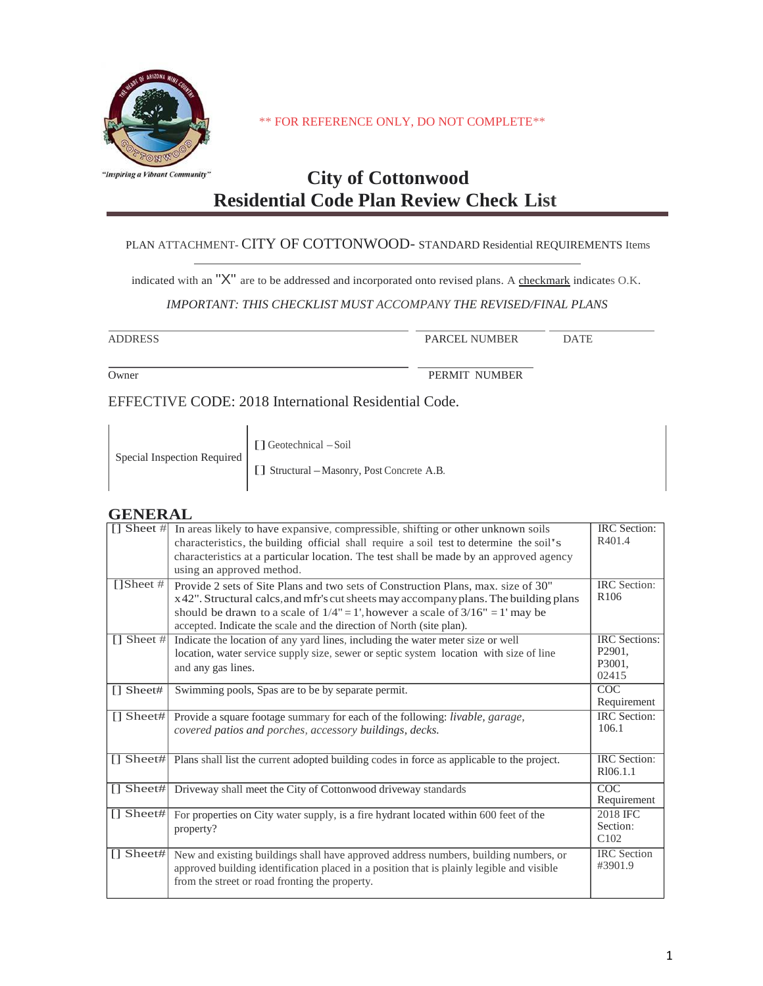

\*\* FOR REFERENCE ONLY, DO NOT COMPLETE\*\*

# **City of Cottonwood Residential Code Plan Review Check List**

#### PLAN ATTACHMENT- CITY OF COTTONWOOD- STANDARD Residential REQUIREMENTS Items

indicated with an " $X$ " are to be addressed and incorporated onto revised plans. A checkmark indicates O.K.

#### *IMPORTANT: THIS CHECKLIST MUST ACCOMPANY THE REVISED/FINAL PLANS*

| <b>ADDRESS</b>                                       | PARCEL NUMBER | <b>DATE</b> |  |  |
|------------------------------------------------------|---------------|-------------|--|--|
| Owner                                                | PERMIT NUMBER |             |  |  |
| EFFECTIVE CODE: 2018 International Residential Code. |               |             |  |  |

| Special Inspection Required | [] Geotechnical - Soil<br>[ [ ] Structural - Masonry, Post Concrete A.B. |
|-----------------------------|--------------------------------------------------------------------------|
|-----------------------------|--------------------------------------------------------------------------|

#### **GENERAL**

| $\boxed{]}$ Sheet #          | In areas likely to have expansive, compressible, shifting or other unknown soils<br>characteristics, the building official shall require a soil test to determine the soil's<br>characteristics at a particular location. The test shall be made by an approved agency<br>using an approved method.                                       | <b>IRC</b> Section:<br>R401.4                                |
|------------------------------|-------------------------------------------------------------------------------------------------------------------------------------------------------------------------------------------------------------------------------------------------------------------------------------------------------------------------------------------|--------------------------------------------------------------|
| [] Sheet #                   | Provide 2 sets of Site Plans and two sets of Construction Plans, max, size of 30"<br>x 42". Structural calcs, and mfr's cut sheets may accompany plans. The building plans<br>should be drawn to a scale of $1/4$ " = 1', however a scale of $3/16$ " = 1' may be<br>accepted. Indicate the scale and the direction of North (site plan). | <b>IRC</b> Section:<br>R <sub>106</sub>                      |
| $\Box$ Sheet #               | Indicate the location of any yard lines, including the water meter size or well<br>location, water service supply size, sewer or septic system location with size of line<br>and any gas lines.                                                                                                                                           | <b>IRC</b> Sections:<br>P <sub>2901</sub><br>P3001.<br>02415 |
| $\prod$ Sheet#               | Swimming pools, Spas are to be by separate permit.                                                                                                                                                                                                                                                                                        | COC<br>Requirement                                           |
| $\lceil \cdot \rceil$ Sheet# | Provide a square footage summary for each of the following: <i>livable</i> , <i>garage</i> ,<br>covered patios and porches, accessory buildings, decks.                                                                                                                                                                                   | <b>IRC</b> Section:<br>106.1                                 |
| $\prod$ Sheet#               | Plans shall list the current adopted building codes in force as applicable to the project.                                                                                                                                                                                                                                                | <b>IRC</b> Section:<br>R <sub>106.1.1</sub>                  |
| $\prod$ Sheet#               | Driveway shall meet the City of Cottonwood driveway standards                                                                                                                                                                                                                                                                             | COC<br>Requirement                                           |
| $\lceil \cdot \rceil$ Sheet# | For properties on City water supply, is a fire hydrant located within 600 feet of the<br>property?                                                                                                                                                                                                                                        | 2018 IFC<br>Section:<br>C <sub>102</sub>                     |
|                              | [] Sheet# New and existing buildings shall have approved address numbers, building numbers, or<br>approved building identification placed in a position that is plainly legible and visible<br>from the street or road fronting the property.                                                                                             | <b>IRC</b> Section<br>#3901.9                                |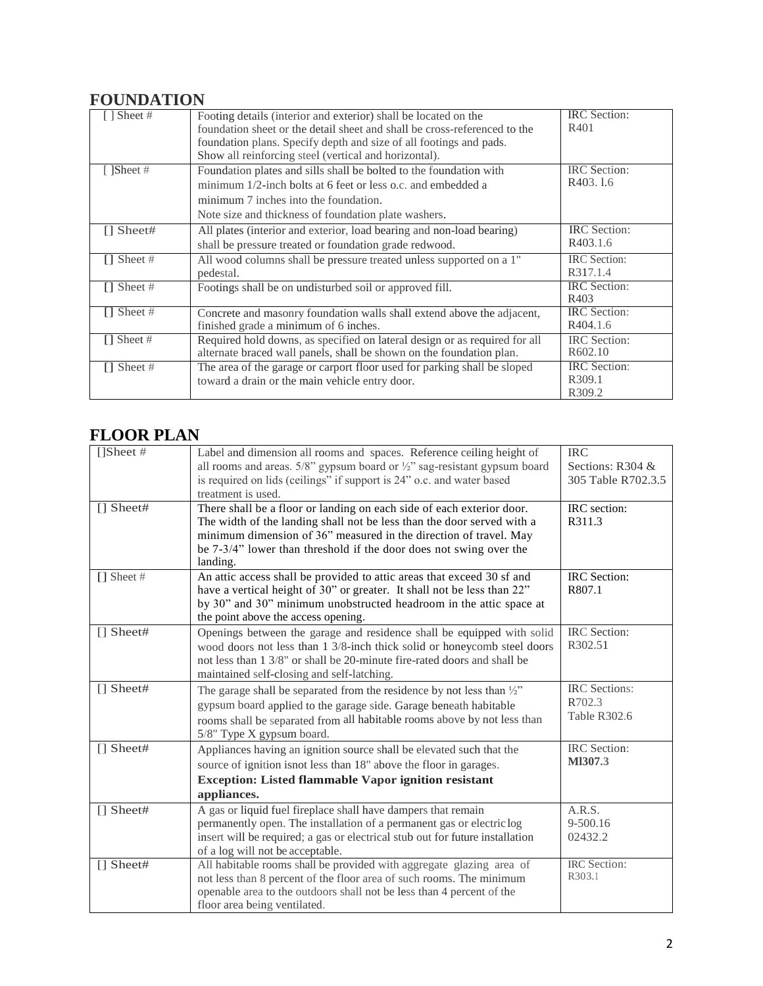### **FOUNDATION**

| Sheet#            | Footing details (interior and exterior) shall be located on the<br>foundation sheet or the detail sheet and shall be cross-referenced to the<br>foundation plans. Specify depth and size of all footings and pads.<br>Show all reinforcing steel (vertical and horizontal). | <b>IRC</b> Section:<br>R401                 |
|-------------------|-----------------------------------------------------------------------------------------------------------------------------------------------------------------------------------------------------------------------------------------------------------------------------|---------------------------------------------|
| $\lceil$ 1Sheet # | Foundation plates and sills shall be bolted to the foundation with<br>minimum 1/2-inch bolts at 6 feet or less o.c. and embedded a<br>minimum 7 inches into the foundation.<br>Note size and thickness of foundation plate washers.                                         | IRC Section:<br>R403, 1.6                   |
| $\prod$ Sheet#    | All plates (interior and exterior, load bearing and non-load bearing)<br>shall be pressure treated or foundation grade redwood.                                                                                                                                             | <b>IRC</b> Section:<br>R403.1.6             |
| $\prod$ Sheet #   | All wood columns shall be pressure treated unless supported on a 1"<br>pedestal.                                                                                                                                                                                            | <b>IRC</b> Section:<br>R317.1.4             |
| $\prod$ Sheet #   | Footings shall be on undisturbed soil or approved fill.                                                                                                                                                                                                                     | <b>IRC</b> Section:<br>R403                 |
| $\Box$ Sheet #    | Concrete and masonry foundation walls shall extend above the adjacent,<br>finished grade a minimum of 6 inches.                                                                                                                                                             | <b>IRC</b> Section:<br>R404.1.6             |
| $\prod$ Sheet #   | Required hold downs, as specified on lateral design or as required for all<br>alternate braced wall panels, shall be shown on the foundation plan.                                                                                                                          | <b>IRC</b> Section:<br>R <sub>6</sub> 02.10 |
| $\prod$ Sheet #   | The area of the garage or carport floor used for parking shall be sloped<br>toward a drain or the main vehicle entry door.                                                                                                                                                  | <b>IRC</b> Section:<br>R309.1<br>R309.2     |

# **FLOOR PLAN**

| [] <b>Sheet</b> # | Label and dimension all rooms and spaces. Reference ceiling height of                                                                                | <b>IRC</b>              |
|-------------------|------------------------------------------------------------------------------------------------------------------------------------------------------|-------------------------|
|                   | all rooms and areas. $5/8$ " gypsum board or $\frac{1}{2}$ " sag-resistant gypsum board                                                              | Sections: R304 &        |
|                   | is required on lids (ceilings" if support is 24" o.c. and water based<br>treatment is used.                                                          | 305 Table R702.3.5      |
| $\Box$ Sheet#     | There shall be a floor or landing on each side of each exterior door.                                                                                | IRC section:            |
|                   | The width of the landing shall not be less than the door served with a                                                                               | R311.3                  |
|                   | minimum dimension of 36" measured in the direction of travel. May                                                                                    |                         |
|                   | be 7-3/4" lower than threshold if the door does not swing over the                                                                                   |                         |
|                   | landing.                                                                                                                                             |                         |
| $\Box$ Sheet #    | An attic access shall be provided to attic areas that exceed 30 sf and                                                                               | IRC Section:            |
|                   | have a vertical height of 30" or greater. It shall not be less than 22"                                                                              | R807.1                  |
|                   | by 30" and 30" minimum unobstructed headroom in the attic space at                                                                                   |                         |
|                   | the point above the access opening.                                                                                                                  |                         |
| $\lceil$ Sheet#   | Openings between the garage and residence shall be equipped with solid                                                                               | IRC Section:<br>R302.51 |
|                   | wood doors not less than 1 3/8-inch thick solid or honeycomb steel doors<br>not less than 1 3/8" or shall be 20-minute fire-rated doors and shall be |                         |
|                   | maintained self-closing and self-latching.                                                                                                           |                         |
| $\Box$ Sheet#     | The garage shall be separated from the residence by not less than $\frac{1}{2}$                                                                      | <b>IRC</b> Sections:    |
|                   | gypsum board applied to the garage side. Garage beneath habitable                                                                                    | R702.3                  |
|                   | rooms shall be separated from all habitable rooms above by not less than                                                                             | Table R302.6            |
|                   | 5/8" Type X gypsum board.                                                                                                                            |                         |
| $\Box$ Sheet#     | Appliances having an ignition source shall be elevated such that the                                                                                 | IRC Section:            |
|                   | source of ignition is not less than 18" above the floor in garages.                                                                                  | M1307.3                 |
|                   | <b>Exception: Listed flammable Vapor ignition resistant</b>                                                                                          |                         |
|                   | appliances.                                                                                                                                          |                         |
| $\lceil$ Sheet#   | A gas or liquid fuel fireplace shall have dampers that remain                                                                                        | A.R.S.                  |
|                   | permanently open. The installation of a permanent gas or electric log                                                                                | 9-500.16                |
|                   | insert will be required; a gas or electrical stub out for future installation                                                                        | 02432.2                 |
|                   | of a log will not be acceptable.                                                                                                                     | <b>IRC</b> Section:     |
| $\Box$ Sheet#     | All habitable rooms shall be provided with aggregate glazing area of<br>not less than 8 percent of the floor area of such rooms. The minimum         | R303.1                  |
|                   | openable area to the outdoors shall not be less than 4 percent of the                                                                                |                         |
|                   | floor area being ventilated.                                                                                                                         |                         |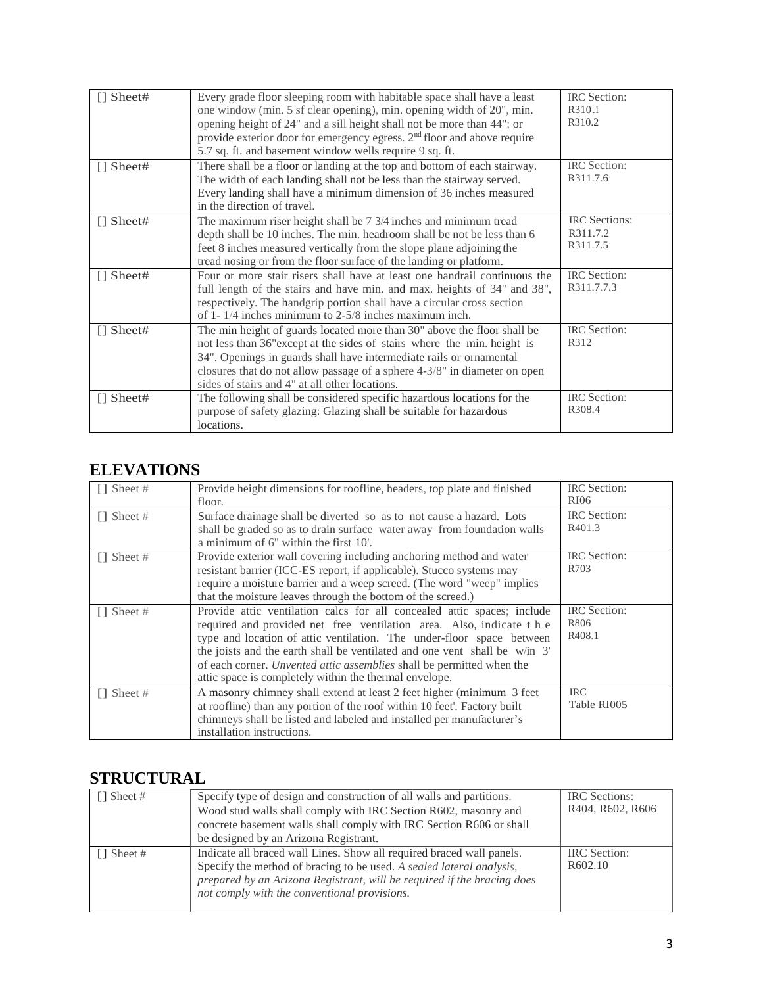| $\lceil$ Sheet# | Every grade floor sleeping room with habitable space shall have a least             | <b>IRC</b> Section:  |
|-----------------|-------------------------------------------------------------------------------------|----------------------|
|                 | one window (min. 5 sf clear opening), min. opening width of 20", min.               | R310.1               |
|                 | opening height of 24" and a sill height shall not be more than 44"; or              | R310.2               |
|                 | provide exterior door for emergency egress. 2 <sup>nd</sup> floor and above require |                      |
|                 | 5.7 sq. ft. and basement window wells require 9 sq. ft.                             |                      |
| $\Box$ Sheet#   | There shall be a floor or landing at the top and bottom of each stairway.           | <b>IRC</b> Section:  |
|                 | The width of each landing shall not be less than the stairway served.               | R311.7.6             |
|                 | Every landing shall have a minimum dimension of 36 inches measured                  |                      |
|                 | in the direction of travel.                                                         |                      |
| $\prod$ Sheet#  | The maximum riser height shall be 7 3/4 inches and minimum tread                    | <b>IRC</b> Sections: |
|                 | depth shall be 10 inches. The min. headroom shall be not be less than 6             | R311.7.2             |
|                 | feet 8 inches measured vertically from the slope plane adjoining the                | R311.7.5             |
|                 | tread nosing or from the floor surface of the landing or platform.                  |                      |
| $\Box$ Sheet#   | Four or more stair risers shall have at least one handrail continuous the           | <b>IRC</b> Section:  |
|                 | full length of the stairs and have min. and max. heights of 34" and 38",            | R311.7.7.3           |
|                 | respectively. The handgrip portion shall have a circular cross section              |                      |
|                 | of 1- $1/4$ inches minimum to 2-5/8 inches maximum inch.                            |                      |
| $\Box$ Sheet#   | The min height of guards located more than 30" above the floor shall be             | <b>IRC</b> Section:  |
|                 | not less than 36" except at the sides of stairs where the min. height is            | R312                 |
|                 | 34". Openings in guards shall have intermediate rails or ornamental                 |                      |
|                 | closures that do not allow passage of a sphere 4-3/8" in diameter on open           |                      |
|                 | sides of stairs and 4" at all other locations.                                      |                      |
| $\Box$ Sheet#   | The following shall be considered specific hazardous locations for the              | <b>IRC</b> Section:  |
|                 | purpose of safety glazing: Glazing shall be suitable for hazardous                  | R308.4               |
|                 | locations.                                                                          |                      |

### **ELEVATIONS**

| $\Box$ Sheet # | Provide height dimensions for roofline, headers, top plate and finished<br>floor.                                                                                                                                                                                                                                                                                                                                                        | <b>IRC</b> Section:<br>RI06               |
|----------------|------------------------------------------------------------------------------------------------------------------------------------------------------------------------------------------------------------------------------------------------------------------------------------------------------------------------------------------------------------------------------------------------------------------------------------------|-------------------------------------------|
| $\Box$ Sheet # | Surface drainage shall be diverted so as to not cause a hazard. Lots<br>shall be graded so as to drain surface water away from foundation walls<br>a minimum of 6" within the first 10'.                                                                                                                                                                                                                                                 | <b>IRC</b> Section:<br>R <sub>401.3</sub> |
| $\Box$ Sheet # | Provide exterior wall covering including anchoring method and water<br>resistant barrier (ICC-ES report, if applicable). Stucco systems may<br>require a moisture barrier and a weep screed. (The word "weep" implies<br>that the moisture leaves through the bottom of the screed.)                                                                                                                                                     | <b>IRC</b> Section:<br>R703               |
| $\Box$ Sheet # | Provide attic ventilation calcs for all concealed attic spaces; include<br>required and provided net free ventilation area. Also, indicate the<br>type and location of attic ventilation. The under-floor space between<br>the joists and the earth shall be ventilated and one vent shall be w/in 3'<br>of each corner. Unvented attic assemblies shall be permitted when the<br>attic space is completely within the thermal envelope. | <b>IRC</b> Section:<br>R806<br>R408.1     |
| $\Box$ Sheet # | A masonry chimney shall extend at least 2 feet higher (minimum 3 feet<br>at roofline) than any portion of the roof within 10 feet'. Factory built<br>chimneys shall be listed and labeled and installed per manufacturer's<br>installation instructions.                                                                                                                                                                                 | <b>IRC</b><br>Table RI005                 |

# **STRUCTURAL**

| $\prod$ Sheet # | Specify type of design and construction of all walls and partitions.<br>Wood stud walls shall comply with IRC Section R602, masonry and<br>concrete basement walls shall comply with IRC Section R606 or shall<br>be designed by an Arizona Registrant.                  | <b>IRC</b> Sections:<br>R404, R602, R606 |
|-----------------|--------------------------------------------------------------------------------------------------------------------------------------------------------------------------------------------------------------------------------------------------------------------------|------------------------------------------|
| $\Box$ Sheet #  | Indicate all braced wall Lines. Show all required braced wall panels.<br>Specify the method of bracing to be used. A sealed lateral analysis,<br>prepared by an Arizona Registrant, will be required if the bracing does<br>not comply with the conventional provisions. | <b>IRC</b> Section:<br>R602.10           |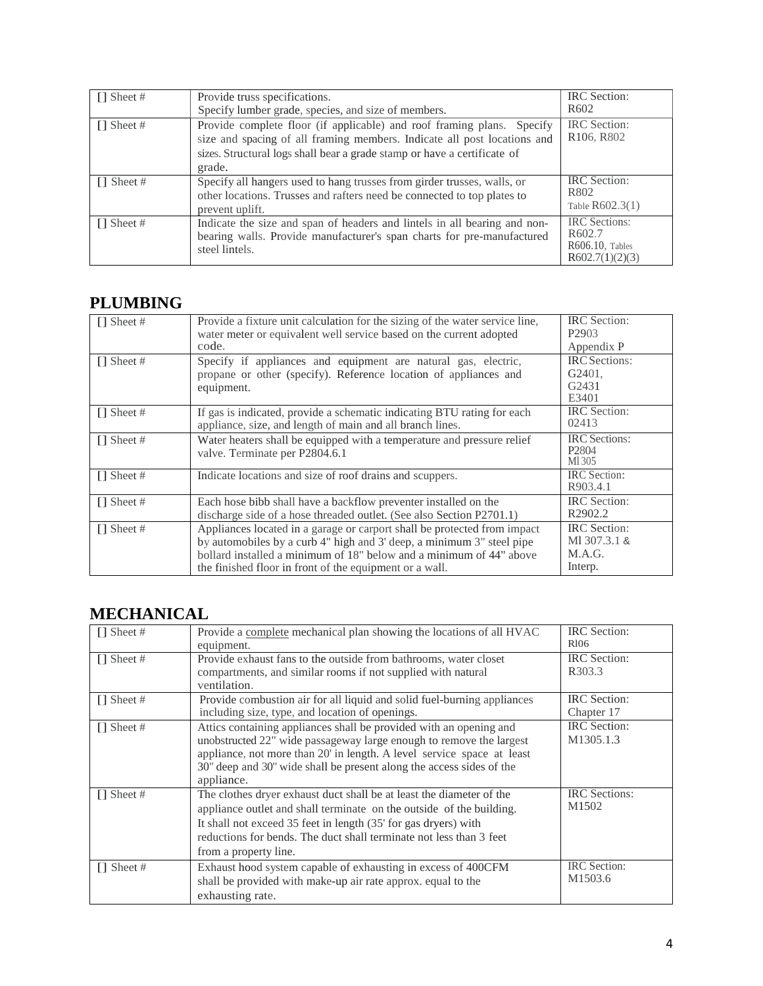| $\Box$ Sheet #  | Provide truss specifications.<br>Specify lumber grade, species, and size of members.                                                                                                                                                     | <b>IRC</b> Section:<br>R <sub>602</sub>                                             |
|-----------------|------------------------------------------------------------------------------------------------------------------------------------------------------------------------------------------------------------------------------------------|-------------------------------------------------------------------------------------|
| $\Box$ Sheet #  | Provide complete floor (if applicable) and roof framing plans. Specify<br>size and spacing of all framing members. Indicate all post locations and<br>sizes. Structural logs shall bear a grade stamp or have a certificate of<br>grade. | IRC Section:<br>R <sub>106</sub> , R <sub>802</sub>                                 |
| $\Box$ Sheet #  | Specify all hangers used to hang trusses from girder trusses, walls, or<br>other locations. Trusses and rafters need be connected to top plates to<br>prevent uplift.                                                                    | <b>IRC</b> Section:<br>R802<br>Table $R602.3(1)$                                    |
| $\prod$ Sheet # | Indicate the size and span of headers and lintels in all bearing and non-<br>bearing walls. Provide manufacturer's span charts for pre-manufactured<br>steel lintels.                                                                    | <b>IRC</b> Sections:<br>R <sub>602.7</sub><br>$R606.10$ , Tables<br>R602.7(1)(2)(3) |

### **PLUMBING**

| $\Box$ Sheet #  | Provide a fixture unit calculation for the sizing of the water service line,<br>water meter or equivalent well service based on the current adopted<br>code.                                                                                                                        | <b>IRC</b> Section:<br>P <sub>2903</sub><br>Appendix P        |
|-----------------|-------------------------------------------------------------------------------------------------------------------------------------------------------------------------------------------------------------------------------------------------------------------------------------|---------------------------------------------------------------|
| $\Box$ Sheet #  | Specify if appliances and equipment are natural gas, electric,<br>propane or other (specify). Reference location of appliances and<br>equipment.                                                                                                                                    | <b>IRC</b> Sections:<br>G <sub>2401</sub> .<br>G2431<br>E3401 |
| $\Box$ Sheet #  | If gas is indicated, provide a schematic indicating BTU rating for each<br>appliance, size, and length of main and all branch lines.                                                                                                                                                | <b>IRC</b> Section:<br>02413                                  |
| $\prod$ Sheet # | Water heaters shall be equipped with a temperature and pressure relief<br>valve. Terminate per P2804.6.1                                                                                                                                                                            | <b>IRC</b> Sections:<br>P <sub>2804</sub><br>M1305            |
| $\prod$ Sheet # | Indicate locations and size of roof drains and scuppers.                                                                                                                                                                                                                            | <b>IRC</b> Section:<br>R903.4.1                               |
| $\Box$ Sheet #  | Each hose bibb shall have a backflow preventer installed on the<br>discharge side of a hose threaded outlet. (See also Section P2701.1)                                                                                                                                             | <b>IRC</b> Section:<br>R <sub>2902.2</sub>                    |
| $\prod$ Sheet # | Appliances located in a garage or carport shall be protected from impact<br>by automobiles by a curb 4" high and 3' deep, a minimum 3" steel pipe<br>bollard installed a minimum of 18" below and a minimum of 44" above<br>the finished floor in front of the equipment or a wall. | <b>IRC</b> Section:<br>MI 307.3.1 &<br>M.A.G.<br>Interp.      |

# **MECHANICAL**

| $\Box$ Sheet #  | Provide a complete mechanical plan showing the locations of all HVAC<br>equipment.                                                                                                                                                                                                                              | <b>IRC</b> Section:<br>R <sub>106</sub> |
|-----------------|-----------------------------------------------------------------------------------------------------------------------------------------------------------------------------------------------------------------------------------------------------------------------------------------------------------------|-----------------------------------------|
| $\prod$ Sheet # | Provide exhaust fans to the outside from bathrooms, water closet<br>compartments, and similar rooms if not supplied with natural<br>ventilation.                                                                                                                                                                | <b>IRC</b> Section:<br>R303.3           |
| $\prod$ Sheet # | Provide combustion air for all liquid and solid fuel-burning appliances<br>including size, type, and location of openings.                                                                                                                                                                                      | <b>IRC</b> Section:<br>Chapter 17       |
| $\prod$ Sheet # | Attics containing appliances shall be provided with an opening and<br>unobstructed 22" wide passageway large enough to remove the largest<br>appliance, not more than 20' in length. A level service space at least<br>30" deep and 30" wide shall be present along the access sides of the<br>appliance.       | <b>IRC</b> Section:<br>M1305.1.3        |
| $\prod$ Sheet # | The clothes dryer exhaust duct shall be at least the diameter of the<br>appliance outlet and shall terminate on the outside of the building.<br>It shall not exceed 35 feet in length (35' for gas dryers) with<br>reductions for bends. The duct shall terminate not less than 3 feet<br>from a property line. | <b>IRC</b> Sections:<br>M1502           |
| $\Box$ Sheet #  | Exhaust hood system capable of exhausting in excess of 400CFM<br>shall be provided with make-up air rate approx. equal to the<br>exhausting rate.                                                                                                                                                               | IRC Section:<br>M1503.6                 |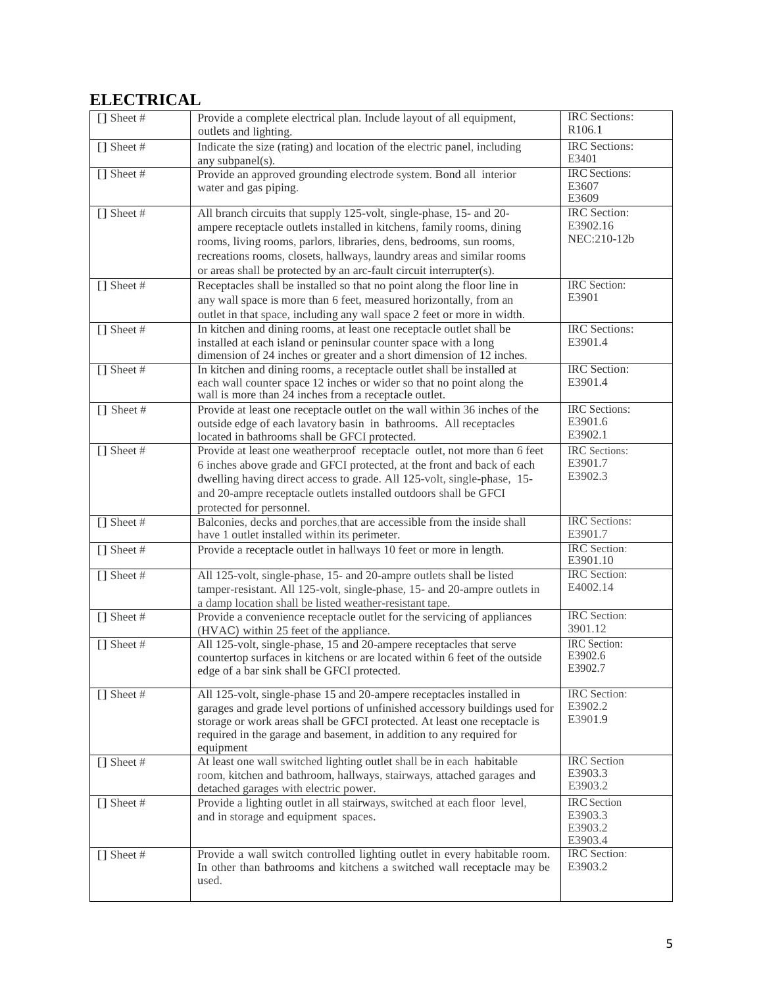# **ELECTRICAL**

| $\Box$ Sheet # | Provide a complete electrical plan. Include layout of all equipment,<br>outlets and lighting.                                                                                                                                                                                                                                                                       | <b>IRC</b> Sections:<br>R106.1                      |
|----------------|---------------------------------------------------------------------------------------------------------------------------------------------------------------------------------------------------------------------------------------------------------------------------------------------------------------------------------------------------------------------|-----------------------------------------------------|
| $\Box$ Sheet # | Indicate the size (rating) and location of the electric panel, including<br>any subpanel(s).                                                                                                                                                                                                                                                                        | <b>IRC</b> Sections:<br>E3401                       |
| $\Box$ Sheet # | Provide an approved grounding electrode system. Bond all interior<br>water and gas piping.                                                                                                                                                                                                                                                                          | <b>IRC</b> Sections:<br>E3607<br>E3609              |
| $\Box$ Sheet # | All branch circuits that supply 125-volt, single-phase, 15- and 20-<br>ampere receptacle outlets installed in kitchens, family rooms, dining<br>rooms, living rooms, parlors, libraries, dens, bedrooms, sun rooms,<br>recreations rooms, closets, hallways, laundry areas and similar rooms<br>or areas shall be protected by an arc-fault circuit interrupter(s). | <b>IRC</b> Section:<br>E3902.16<br>NEC:210-12b      |
| $\Box$ Sheet # | Receptacles shall be installed so that no point along the floor line in<br>any wall space is more than 6 feet, measured horizontally, from an<br>outlet in that space, including any wall space 2 feet or more in width.                                                                                                                                            | <b>IRC</b> Section:<br>E3901                        |
| $\Box$ Sheet # | In kitchen and dining rooms, at least one receptacle outlet shall be<br>installed at each island or peninsular counter space with a long<br>dimension of 24 inches or greater and a short dimension of 12 inches.                                                                                                                                                   | IRC Sections:<br>E3901.4                            |
| $\Box$ Sheet # | In kitchen and dining rooms, a receptacle outlet shall be installed at<br>each wall counter space 12 inches or wider so that no point along the<br>wall is more than 24 inches from a receptacle outlet.                                                                                                                                                            | <b>IRC</b> Section:<br>E3901.4                      |
| $\Box$ Sheet # | Provide at least one receptacle outlet on the wall within 36 inches of the<br>outside edge of each lavatory basin in bathrooms. All receptacles<br>located in bathrooms shall be GFCI protected.                                                                                                                                                                    | <b>IRC</b> Sections:<br>E3901.6<br>E3902.1          |
| $\Box$ Sheet # | Provide at least one weatherproof receptacle outlet, not more than 6 feet<br>6 inches above grade and GFCI protected, at the front and back of each<br>dwelling having direct access to grade. All 125-volt, single-phase, 15-<br>and 20-ampre receptacle outlets installed outdoors shall be GFCI<br>protected for personnel.                                      | IRC Sections:<br>E3901.7<br>E3902.3                 |
| $[]$ Sheet #   | Balconies, decks and porches, that are accessible from the inside shall<br>have 1 outlet installed within its perimeter.                                                                                                                                                                                                                                            | IRC Sections:<br>E3901.7                            |
| $\Box$ Sheet # | Provide a receptacle outlet in hallways 10 feet or more in length.                                                                                                                                                                                                                                                                                                  | IRC Section:<br>E3901.10                            |
| $\Box$ Sheet # | All 125-volt, single-phase, 15- and 20-ampre outlets shall be listed<br>tamper-resistant. All 125-volt, single-phase, 15- and 20-ampre outlets in<br>a damp location shall be listed weather-resistant tape.                                                                                                                                                        | <b>IRC</b> Section:<br>E4002.14                     |
| $\Box$ Sheet # | Provide a convenience receptacle outlet for the servicing of appliances<br>(HVAC) within 25 feet of the appliance.                                                                                                                                                                                                                                                  | <b>IRC</b> Section:<br>3901.12                      |
| $[]$ Sheet #   | All 125-volt, single-phase, 15 and 20-ampere receptacles that serve<br>countertop surfaces in kitchens or are located within 6 feet of the outside<br>edge of a bar sink shall be GFCI protected.                                                                                                                                                                   | <b>IRC</b> Section:<br>E3902.6<br>E3902.7           |
| $\Box$ Sheet # | All 125-volt, single-phase 15 and 20-ampere receptacles installed in<br>garages and grade level portions of unfinished accessory buildings used for<br>storage or work areas shall be GFCI protected. At least one receptacle is<br>required in the garage and basement, in addition to any required for<br>equipment                                               | IRC Section:<br>E3902.2<br>E3901.9                  |
| $\Box$ Sheet # | At least one wall switched lighting outlet shall be in each habitable<br>room, kitchen and bathroom, hallways, stairways, attached garages and<br>detached garages with electric power.                                                                                                                                                                             | <b>IRC</b> Section<br>E3903.3<br>E3903.2            |
| $\Box$ Sheet # | Provide a lighting outlet in all stairways, switched at each floor level,<br>and in storage and equipment spaces.                                                                                                                                                                                                                                                   | <b>IRC</b> Section<br>E3903.3<br>E3903.2<br>E3903.4 |
| [] Sheet #     | Provide a wall switch controlled lighting outlet in every habitable room.<br>In other than bathrooms and kitchens a switched wall receptacle may be<br>used.                                                                                                                                                                                                        | IRC Section:<br>E3903.2                             |